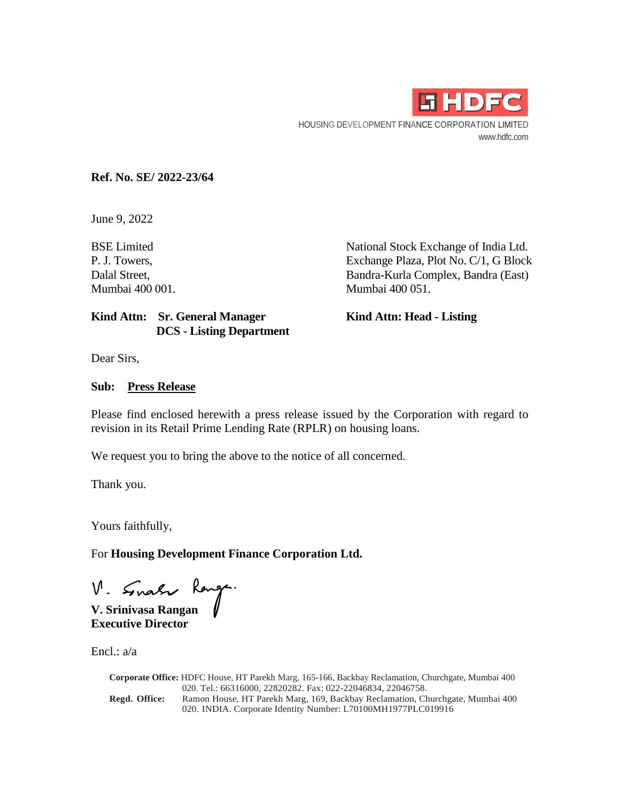

**Ref. No. SE/ 2022-23/64** 

June 9, 2022

BSE Limited National Stock Exchange of India Ltd. P. J. Towers, Exchange Plaza, Plot No. C/1, G Block Dalal Street, Bandra-Kurla Complex, Bandra (East) Mumbai 400 001. Mumbai 400 051.

## Kind Attn: Sr. General Manager **Kind Attn: Head - Listing DCS - Listing Department**

Dear Sirs,

#### **Sub: Press Release**

Please find enclosed herewith a press release issued by the Corporation with regard to revision in its Retail Prime Lending Rate (RPLR) on housing loans.

We request you to bring the above to the notice of all concerned.

Thank you.

Yours faithfully,

For **Housing Development Finance Corporation Ltd.** 

**V. Srinivasa Rangan** 

**Executive Director** 

Encl.: a/a

**Corporate Office:** HDFC House, HT Parekh Marg, 165-166, Backbay Reclamation, Churchgate, Mumbai 400 020. Tel.: 66316000, 22820282. Fax: 022-22046834, 22046758. **Regd. Office:** Ramon House, HT Parekh Marg, 169, Backbay Reclamation, Churchgate, Mumbai 400 020. INDIA. Corporate Identity Number: L70100MH1977PLC019916